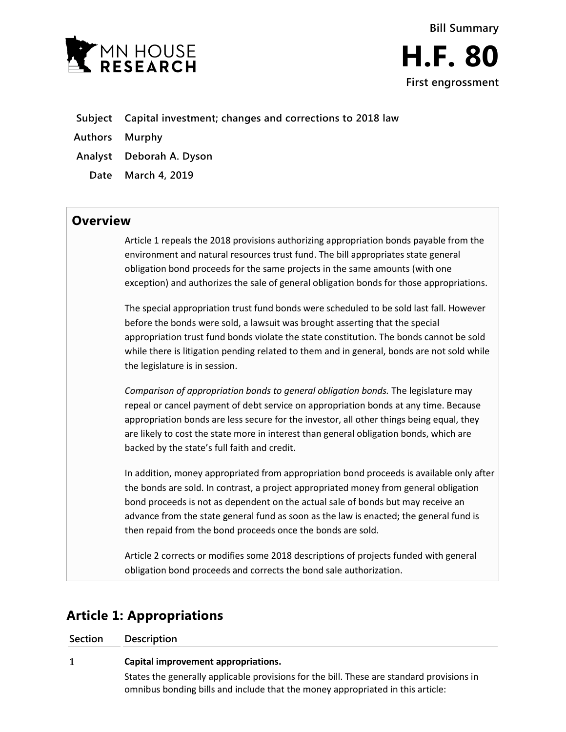



- **Subject Capital investment; changes and corrections to 2018 law**
- **Authors Murphy**
- **Analyst Deborah A. Dyson**
- **Date March 4, 2019**

## **Overview**

Article 1 repeals the 2018 provisions authorizing appropriation bonds payable from the environment and natural resources trust fund. The bill appropriates state general obligation bond proceeds for the same projects in the same amounts (with one exception) and authorizes the sale of general obligation bonds for those appropriations.

The special appropriation trust fund bonds were scheduled to be sold last fall. However before the bonds were sold, a lawsuit was brought asserting that the special appropriation trust fund bonds violate the state constitution. The bonds cannot be sold while there is litigation pending related to them and in general, bonds are not sold while the legislature is in session.

*Comparison of appropriation bonds to general obligation bonds.* The legislature may repeal or cancel payment of debt service on appropriation bonds at any time. Because appropriation bonds are less secure for the investor, all other things being equal, they are likely to cost the state more in interest than general obligation bonds, which are backed by the state's full faith and credit.

In addition, money appropriated from appropriation bond proceeds is available only after the bonds are sold. In contrast, a project appropriated money from general obligation bond proceeds is not as dependent on the actual sale of bonds but may receive an advance from the state general fund as soon as the law is enacted; the general fund is then repaid from the bond proceeds once the bonds are sold.

Article 2 corrects or modifies some 2018 descriptions of projects funded with general obligation bond proceeds and corrects the bond sale authorization.

# **Article 1: Appropriations**

| Section | <b>Description</b>                                                                                                                                                          |
|---------|-----------------------------------------------------------------------------------------------------------------------------------------------------------------------------|
| 1       | Capital improvement appropriations.                                                                                                                                         |
|         | States the generally applicable provisions for the bill. These are standard provisions in<br>omnibus bonding bills and include that the money appropriated in this article: |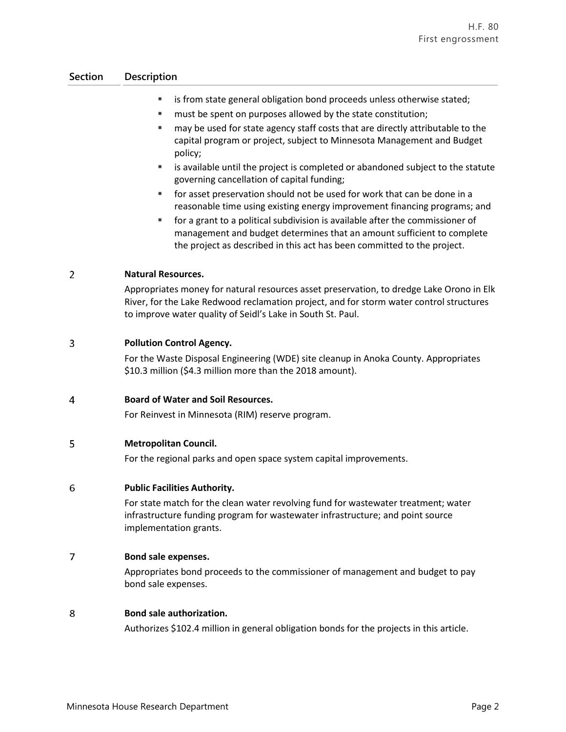### **Section Description**

- is from state general obligation bond proceeds unless otherwise stated;
- **F** must be spent on purposes allowed by the state constitution;
- **Fig.** may be used for state agency staff costs that are directly attributable to the capital program or project, subject to Minnesota Management and Budget policy;
- is available until the project is completed or abandoned subject to the statute governing cancellation of capital funding;
- for asset preservation should not be used for work that can be done in a reasonable time using existing energy improvement financing programs; and
- for a grant to a political subdivision is available after the commissioner of management and budget determines that an amount sufficient to complete the project as described in this act has been committed to the project.

#### $\overline{2}$ **Natural Resources.**

Appropriates money for natural resources asset preservation, to dredge Lake Orono in Elk River, for the Lake Redwood reclamation project, and for storm water control structures to improve water quality of Seidl's Lake in South St. Paul.

#### 3 **Pollution Control Agency.**

For the Waste Disposal Engineering (WDE) site cleanup in Anoka County. Appropriates \$10.3 million (\$4.3 million more than the 2018 amount).

#### $\overline{4}$ **Board of Water and Soil Resources.**

For Reinvest in Minnesota (RIM) reserve program.

#### 5 **Metropolitan Council.**

For the regional parks and open space system capital improvements.

#### 6 **Public Facilities Authority.**

For state match for the clean water revolving fund for wastewater treatment; water infrastructure funding program for wastewater infrastructure; and point source implementation grants.

#### $\overline{7}$ **Bond sale expenses.**

Appropriates bond proceeds to the commissioner of management and budget to pay bond sale expenses.

#### 8 **Bond sale authorization.**

Authorizes \$102.4 million in general obligation bonds for the projects in this article.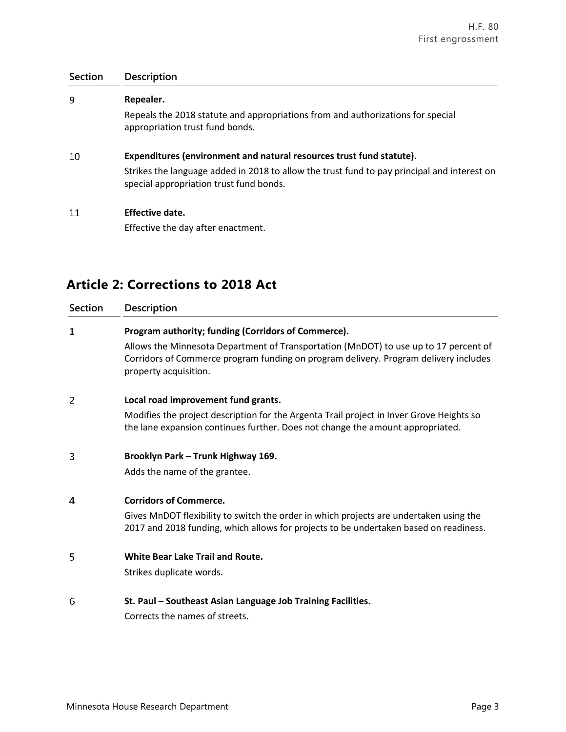## **Section Description** 9 **Repealer.** Repeals the 2018 statute and appropriations from and authorizations for special appropriation trust fund bonds. 10 **Expenditures (environment and natural resources trust fund statute).** Strikes the language added in 2018 to allow the trust fund to pay principal and interest on special appropriation trust fund bonds. 11 **Effective date.**

Effective the day after enactment.

# **Article 2: Corrections to 2018 Act**

| <b>Section</b> | <b>Description</b>                                                                                                                                                                                                                  |
|----------------|-------------------------------------------------------------------------------------------------------------------------------------------------------------------------------------------------------------------------------------|
| 1              | Program authority; funding (Corridors of Commerce).<br>Allows the Minnesota Department of Transportation (MnDOT) to use up to 17 percent of<br>Corridors of Commerce program funding on program delivery. Program delivery includes |
| $\overline{2}$ | property acquisition.<br>Local road improvement fund grants.                                                                                                                                                                        |
|                | Modifies the project description for the Argenta Trail project in Inver Grove Heights so<br>the lane expansion continues further. Does not change the amount appropriated.                                                          |
| 3              | Brooklyn Park - Trunk Highway 169.<br>Adds the name of the grantee.                                                                                                                                                                 |
| 4              | <b>Corridors of Commerce.</b><br>Gives MnDOT flexibility to switch the order in which projects are undertaken using the<br>2017 and 2018 funding, which allows for projects to be undertaken based on readiness.                    |
| 5              | <b>White Bear Lake Trail and Route.</b><br>Strikes duplicate words.                                                                                                                                                                 |
| 6              | St. Paul - Southeast Asian Language Job Training Facilities.<br>Corrects the names of streets.                                                                                                                                      |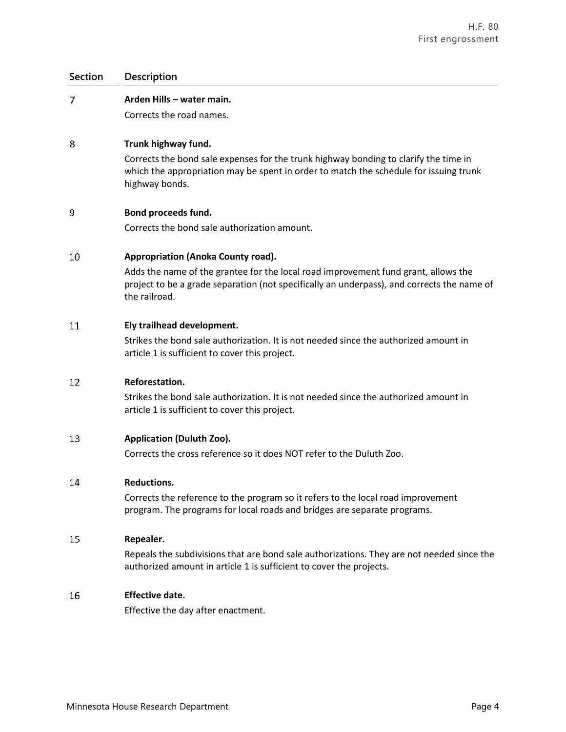### **Section Description**

| Section        | <b>Description</b>                                                                                                                                                                                |
|----------------|---------------------------------------------------------------------------------------------------------------------------------------------------------------------------------------------------|
| $\overline{7}$ | Arden Hills - water main.                                                                                                                                                                         |
|                | Corrects the road names.                                                                                                                                                                          |
| 8              | Trunk highway fund.                                                                                                                                                                               |
|                | Corrects the bond sale expenses for the trunk highway bonding to clarify the time in<br>which the appropriation may be spent in order to match the schedule for issuing trunk<br>highway bonds.   |
| 9              | Bond proceeds fund.                                                                                                                                                                               |
|                | Corrects the bond sale authorization amount.                                                                                                                                                      |
| 10             | Appropriation (Anoka County road).                                                                                                                                                                |
|                | Adds the name of the grantee for the local road improvement fund grant, allows the<br>project to be a grade separation (not specifically an underpass), and corrects the name of<br>the railroad. |
| 11             | Ely trailhead development.                                                                                                                                                                        |
|                | Strikes the bond sale authorization. It is not needed since the authorized amount in<br>article 1 is sufficient to cover this project.                                                            |
| 12             | Reforestation.                                                                                                                                                                                    |
|                | Strikes the bond sale authorization. It is not needed since the authorized amount in<br>article 1 is sufficient to cover this project.                                                            |
| 13             | <b>Application (Duluth Zoo).</b>                                                                                                                                                                  |
|                | Corrects the cross reference so it does NOT refer to the Duluth Zoo.                                                                                                                              |
| 14             | <b>Reductions.</b>                                                                                                                                                                                |
|                | Corrects the reference to the program so it refers to the local road improvement<br>program. The programs for local roads and bridges are separate programs.                                      |
|                |                                                                                                                                                                                                   |

#### **Repealer.** 15

Repeals the subdivisions that are bond sale authorizations. They are not needed since the authorized amount in article 1 is sufficient to cover the projects.

#### 16 **Effective date.**

Effective the day after enactment.